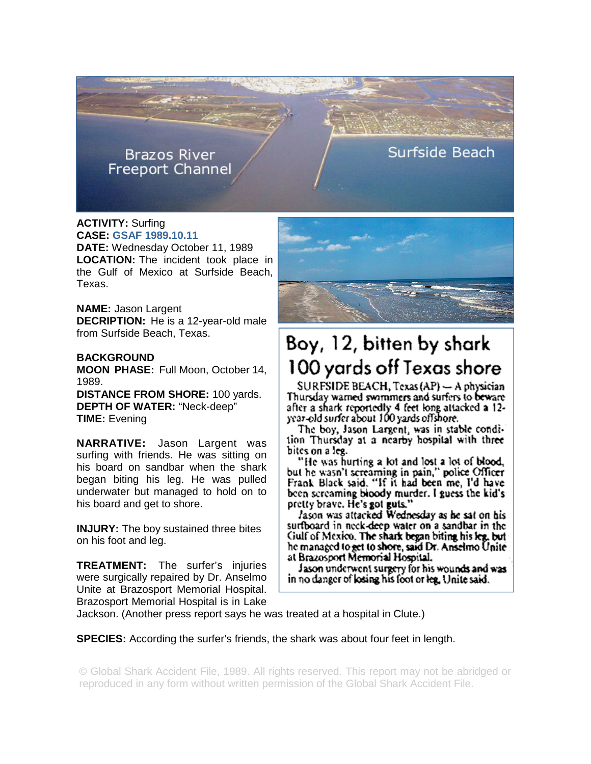**Brazos River Freeport Channel**  Surfside Beach

**ACTIVITY:** Surfing **CASE: GSAF 1989.10.11 DATE:** Wednesday October 11, 1989 **LOCATION:** The incident took place in the Gulf of Mexico at Surfside Beach, Texas.

**NAME:** Jason Largent **DECRIPTION:** He is a 12-year-old male from Surfside Beach, Texas.

## **BACKGROUND**

**MOON PHASE:** Full Moon, October 14, 1989.

**DISTANCE FROM SHORE:** 100 yards. **DEPTH OF WATER:** "Neck-deep" **TIME:** Evening

**NARRATIVE:** Jason Largent was surfing with friends. He was sitting on his board on sandbar when the shark began biting his leg. He was pulled underwater but managed to hold on to his board and get to shore.

**INJURY:** The boy sustained three bites on his foot and leg.

**TREATMENT:** The surfer's injuries were surgically repaired by Dr. Anselmo Unite at Brazosport Memorial Hospital. Brazosport Memorial Hospital is in Lake



## Boy, 12, bitten by shark 100 yards off Texas shore

SURFSIDE BEACH, Texas (AP) - A physician Thursday warned swimmers and surfers to beware after a shark reportedly 4 feet long attacked a 12year-old surfer about 100 yards offshore.

The boy, Jason Largent, was in stable condition Thursday at a nearby hospital with three bites on a leg.

"He was hurting a lot and lost a lot of blood, but he wasn't screaming in pain," police Officer<br>Frank Black said. "If it had been me, I'd have been screaming bloody murder. I guess the kid's pretty brave. He's got guts."<br>Iason was attacked Wednesday as he sat on his

surfboard in neck-deep water on a sandbar in the Gulf of Mexico. The shark began biting his leg, but he managed to get to shore, said Dr. Anselmo Unite at Brazosport Memorial Hospital.

Jason underwent surgery for his wounds and was in no danger of losing his foot or leg. Unite said.

Jackson. (Another press report says he was treated at a hospital in Clute.)

**SPECIES:** According the surfer's friends, the shark was about four feet in length.

© Global Shark Accident File, 1989. All rights reserved. This report may not be abridged or reproduced in any form without written permission of the Global Shark Accident File.